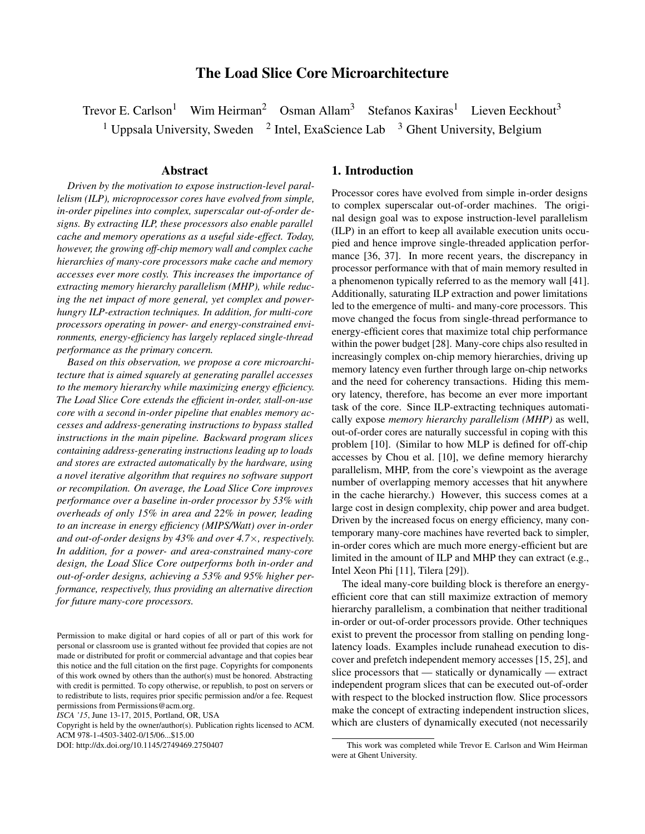# The Load Slice Core Microarchitecture

Trevor E. Carlson<sup>1</sup> Wim Heirman<sup>2</sup> Osman Allam<sup>3</sup> Stefanos Kaxiras<sup>1</sup> Lieven Eeckhout<sup>3</sup> <sup>1</sup> Uppsala University, Sweden  $2$  Intel, ExaScience Lab  $3$  Ghent University, Belgium

### Abstract

*Driven by the motivation to expose instruction-level parallelism (ILP), microprocessor cores have evolved from simple, in-order pipelines into complex, superscalar out-of-order designs. By extracting ILP, these processors also enable parallel cache and memory operations as a useful side-effect. Today, however, the growing off-chip memory wall and complex cache hierarchies of many-core processors make cache and memory accesses ever more costly. This increases the importance of extracting memory hierarchy parallelism (MHP), while reducing the net impact of more general, yet complex and powerhungry ILP-extraction techniques. In addition, for multi-core processors operating in power- and energy-constrained environments, energy-efficiency has largely replaced single-thread performance as the primary concern.*

*Based on this observation, we propose a core microarchitecture that is aimed squarely at generating parallel accesses to the memory hierarchy while maximizing energy efficiency. The Load Slice Core extends the efficient in-order, stall-on-use core with a second in-order pipeline that enables memory accesses and address-generating instructions to bypass stalled instructions in the main pipeline. Backward program slices containing address-generating instructions leading up to loads and stores are extracted automatically by the hardware, using a novel iterative algorithm that requires no software support or recompilation. On average, the Load Slice Core improves performance over a baseline in-order processor by 53% with overheads of only 15% in area and 22% in power, leading to an increase in energy efficiency (MIPS/Watt) over in-order and out-of-order designs by 43% and over 4.7*×*, respectively. In addition, for a power- and area-constrained many-core design, the Load Slice Core outperforms both in-order and out-of-order designs, achieving a 53% and 95% higher performance, respectively, thus providing an alternative direction for future many-core processors.*

Copyright is held by the owner/author(s). Publication rights licensed to ACM. ACM 978-1-4503-3402-0/15/06...\$15.00

### 1. Introduction

Processor cores have evolved from simple in-order designs to complex superscalar out-of-order machines. The original design goal was to expose instruction-level parallelism (ILP) in an effort to keep all available execution units occupied and hence improve single-threaded application performance [36, 37]. In more recent years, the discrepancy in processor performance with that of main memory resulted in a phenomenon typically referred to as the memory wall [41]. Additionally, saturating ILP extraction and power limitations led to the emergence of multi- and many-core processors. This move changed the focus from single-thread performance to energy-efficient cores that maximize total chip performance within the power budget [28]. Many-core chips also resulted in increasingly complex on-chip memory hierarchies, driving up memory latency even further through large on-chip networks and the need for coherency transactions. Hiding this memory latency, therefore, has become an ever more important task of the core. Since ILP-extracting techniques automatically expose *memory hierarchy parallelism (MHP)* as well, out-of-order cores are naturally successful in coping with this problem [10]. (Similar to how MLP is defined for off-chip accesses by Chou et al. [10], we define memory hierarchy parallelism, MHP, from the core's viewpoint as the average number of overlapping memory accesses that hit anywhere in the cache hierarchy.) However, this success comes at a large cost in design complexity, chip power and area budget. Driven by the increased focus on energy efficiency, many contemporary many-core machines have reverted back to simpler, in-order cores which are much more energy-efficient but are limited in the amount of ILP and MHP they can extract (e.g., Intel Xeon Phi [11], Tilera [29]).

The ideal many-core building block is therefore an energyefficient core that can still maximize extraction of memory hierarchy parallelism, a combination that neither traditional in-order or out-of-order processors provide. Other techniques exist to prevent the processor from stalling on pending longlatency loads. Examples include runahead execution to discover and prefetch independent memory accesses [15, 25], and slice processors that — statically or dynamically — extract independent program slices that can be executed out-of-order with respect to the blocked instruction flow. Slice processors make the concept of extracting independent instruction slices, which are clusters of dynamically executed (not necessarily

Permission to make digital or hard copies of all or part of this work for personal or classroom use is granted without fee provided that copies are not made or distributed for profit or commercial advantage and that copies bear this notice and the full citation on the first page. Copyrights for components of this work owned by others than the author(s) must be honored. Abstracting with credit is permitted. To copy otherwise, or republish, to post on servers or to redistribute to lists, requires prior specific permission and/or a fee. Request permissions from Permissions@acm.org.

*ISCA '15*, June 13-17, 2015, Portland, OR, USA

DOI: http://dx.doi.org/10.1145/2749469.2750407

This work was completed while Trevor E. Carlson and Wim Heirman were at Ghent University.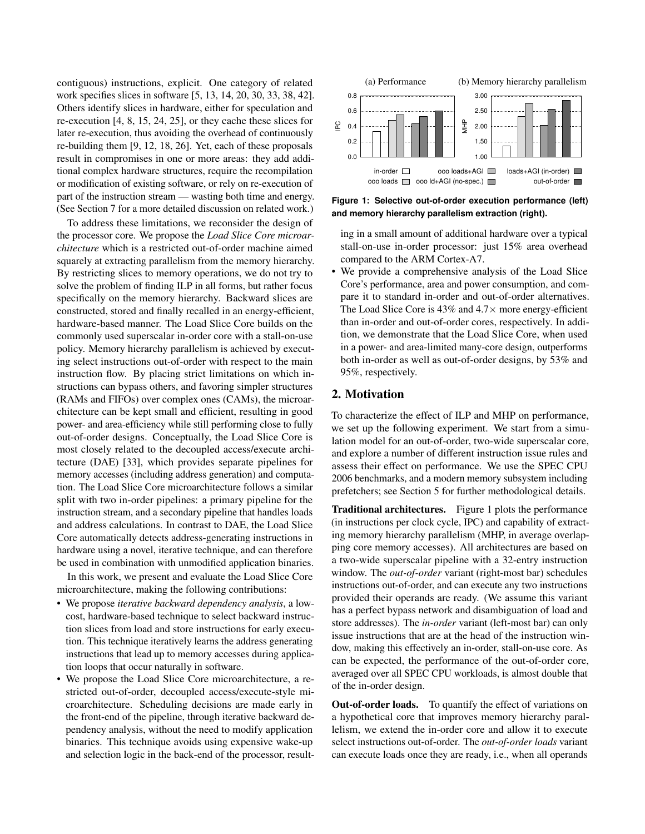contiguous) instructions, explicit. One category of related work specifies slices in software [5, 13, 14, 20, 30, 33, 38, 42]. Others identify slices in hardware, either for speculation and re-execution [4, 8, 15, 24, 25], or they cache these slices for Later re-execution, thus avoiding the overhead of continuously re-building them [9, 12, 18, 26]. Yet, each of these proposals result in compromises in one or more areas: they add additional complex hardware structures, require the recompilation or modification of existing software, or rely on re-execution of part of the instruction stream — wasting both time and energy. (See Section 7 for a more detailed discussion on related work.)

To address these limitations, we reconsider the design of the processor core. We propose the *Load Slice Core microarchitecture* which is a restricted out-of-order machine aimed squarely at extracting parallelism from the memory hierarchy. By restricting slices to memory operations, we do not try to solve the problem of finding ILP in all forms, but rather focus specifically on the memory hierarchy. Backward slices are constructed, stored and finally recalled in an energy-efficient, hardware-based manner. The Load Slice Core builds on the commonly used superscalar in-order core with a stall-on-use policy. Memory hierarchy parallelism is achieved by executing select instructions out-of-order with respect to the main instruction flow. By placing strict limitations on which instructions can bypass others, and favoring simpler structures (RAMs and FIFOs) over complex ones (CAMs), the microarchitecture can be kept small and efficient, resulting in good power- and area-efficiency while still performing close to fully out-of-order designs. Conceptually, the Load Slice Core is most closely related to the decoupled access/execute architecture (DAE) [33], which provides separate pipelines for memory accesses (including address generation) and computation. The Load Slice Core microarchitecture follows a similar split with two in-order pipelines: a primary pipeline for the instruction stream, and a secondary pipeline that handles loads and address calculations. In contrast to DAE, the Load Slice Core automatically detects address-generating instructions in hardware using a novel, iterative technique, and can therefore be used in combination with unmodified application binaries.

In this work, we present and evaluate the Load Slice Core microarchitecture, making the following contributions:

- We propose *iterative backward dependency analysis*, a lowcost, hardware-based technique to select backward instruction slices from load and store instructions for early execution. This technique iteratively learns the address generating instructions that lead up to memory accesses during application loops that occur naturally in software.
- We propose the Load Slice Core microarchitecture, a restricted out-of-order, decoupled access/execute-style microarchitecture. Scheduling decisions are made early in the front-end of the pipeline, through iterative backward dependency analysis, without the need to modify application binaries. This technique avoids using expensive wake-up and selection logic in the back-end of the processor, result-



**Figure 1: Selective out-of-order execution performance (left) and memory hierarchy parallelism extraction (right).**

ing in a small amount of additional hardware over a typical stall-on-use in-order processor: just 15% area overhead compared to the ARM Cortex-A7.

• We provide a comprehensive analysis of the Load Slice Core's performance, area and power consumption, and compare it to standard in-order and out-of-order alternatives. The Load Slice Core is 43% and  $4.7\times$  more energy-efficient than in-order and out-of-order cores, respectively. In addition, we demonstrate that the Load Slice Core, when used in a power- and area-limited many-core design, outperforms both in-order as well as out-of-order designs, by 53% and 95%, respectively.

### 2. Motivation

To characterize the effect of ILP and MHP on performance, we set up the following experiment. We start from a simulation model for an out-of-order, two-wide superscalar core, and explore a number of different instruction issue rules and assess their effect on performance. We use the SPEC CPU 2006 benchmarks, and a modern memory subsystem including prefetchers; see Section 5 for further methodological details.

Traditional architectures. Figure 1 plots the performance (in instructions per clock cycle, IPC) and capability of extracting memory hierarchy parallelism (MHP, in average overlapping core memory accesses). All architectures are based on a two-wide superscalar pipeline with a 32-entry instruction window. The *out-of-order* variant (right-most bar) schedules instructions out-of-order, and can execute any two instructions provided their operands are ready. (We assume this variant has a perfect bypass network and disambiguation of load and store addresses). The *in-order* variant (left-most bar) can only issue instructions that are at the head of the instruction window, making this effectively an in-order, stall-on-use core. As can be expected, the performance of the out-of-order core, averaged over all SPEC CPU workloads, is almost double that of the in-order design.

Out-of-order loads. To quantify the effect of variations on a hypothetical core that improves memory hierarchy parallelism, we extend the in-order core and allow it to execute select instructions out-of-order. The *out-of-order loads* variant can execute loads once they are ready, i.e., when all operands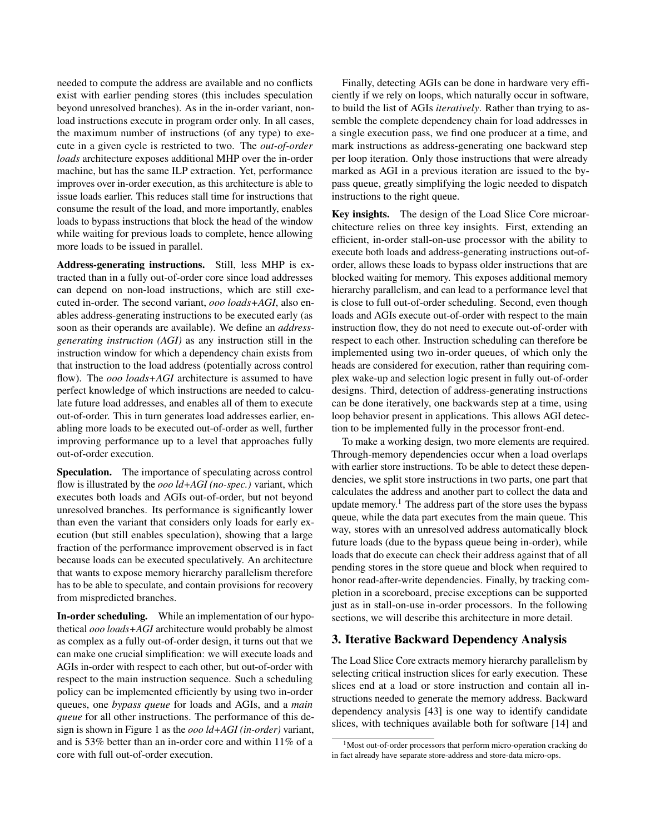needed to compute the address are available and no conflicts exist with earlier pending stores (this includes speculation beyond unresolved branches). As in the in-order variant, nonload instructions execute in program order only. In all cases, the maximum number of instructions (of any type) to execute in a given cycle is restricted to two. The *out-of-order loads* architecture exposes additional MHP over the in-order machine, but has the same ILP extraction. Yet, performance improves over in-order execution, as this architecture is able to issue loads earlier. This reduces stall time for instructions that consume the result of the load, and more importantly, enables loads to bypass instructions that block the head of the window while waiting for previous loads to complete, hence allowing more loads to be issued in parallel.

Address-generating instructions. Still, less MHP is extracted than in a fully out-of-order core since load addresses can depend on non-load instructions, which are still executed in-order. The second variant, *ooo loads+AGI*, also enables address-generating instructions to be executed early (as soon as their operands are available). We define an *addressgenerating instruction (AGI)* as any instruction still in the instruction window for which a dependency chain exists from that instruction to the load address (potentially across control flow). The *ooo loads*+AGI architecture is assumed to have perfect knowledge of which instructions are needed to calculate future load addresses, and enables all of them to execute out-of-order. This in turn generates load addresses earlier, enabling more loads to be executed out-of-order as well, further improving performance up to a level that approaches fully out-of-order execution.

Speculation. The importance of speculating across control flow is illustrated by the *ooo ld+AGI (no-spec.)* variant, which executes both loads and AGIs out-of-order, but not beyond unresolved branches. Its performance is significantly lower than even the variant that considers only loads for early execution (but still enables speculation), showing that a large fraction of the performance improvement observed is in fact because loads can be executed speculatively. An architecture that wants to expose memory hierarchy parallelism therefore has to be able to speculate, and contain provisions for recovery from mispredicted branches.

In-order scheduling. While an implementation of our hypothetical *ooo loads+AGI* architecture would probably be almost as complex as a fully out-of-order design, it turns out that we can make one crucial simplification: we will execute loads and AGIs in-order with respect to each other, but out-of-order with respect to the main instruction sequence. Such a scheduling policy can be implemented efficiently by using two in-order queues, one *bypass queue* for loads and AGIs, and a *main queue* for all other instructions. The performance of this design is shown in Figure 1 as the *ooo ld+AGI (in-order)* variant, and is 53% better than an in-order core and within 11% of a core with full out-of-order execution.

Finally, detecting AGIs can be done in hardware very efficiently if we rely on loops, which naturally occur in software, to build the list of AGIs *iteratively*. Rather than trying to assemble the complete dependency chain for load addresses in a single execution pass, we find one producer at a time, and mark instructions as address-generating one backward step per loop iteration. Only those instructions that were already marked as AGI in a previous iteration are issued to the bypass queue, greatly simplifying the logic needed to dispatch instructions to the right queue.

Key insights. The design of the Load Slice Core microarchitecture relies on three key insights. First, extending an efficient, in-order stall-on-use processor with the ability to execute both loads and address-generating instructions out-oforder, allows these loads to bypass older instructions that are blocked waiting for memory. This exposes additional memory hierarchy parallelism, and can lead to a performance level that is close to full out-of-order scheduling. Second, even though loads and AGIs execute out-of-order with respect to the main instruction flow, they do not need to execute out-of-order with respect to each other. Instruction scheduling can therefore be implemented using two in-order queues, of which only the heads are considered for execution, rather than requiring complex wake-up and selection logic present in fully out-of-order designs. Third, detection of address-generating instructions can be done iteratively, one backwards step at a time, using loop behavior present in applications. This allows AGI detection to be implemented fully in the processor front-end.

To make a working design, two more elements are required. Through-memory dependencies occur when a load overlaps with earlier store instructions. To be able to detect these dependencies, we split store instructions in two parts, one part that calculates the address and another part to collect the data and update memory.<sup>1</sup> The address part of the store uses the bypass queue, while the data part executes from the main queue. This way, stores with an unresolved address automatically block future loads (due to the bypass queue being in-order), while loads that do execute can check their address against that of all pending stores in the store queue and block when required to honor read-after-write dependencies. Finally, by tracking completion in a scoreboard, precise exceptions can be supported just as in stall-on-use in-order processors. In the following sections, we will describe this architecture in more detail.

### 3. Iterative Backward Dependency Analysis

The Load Slice Core extracts memory hierarchy parallelism by selecting critical instruction slices for early execution. These slices end at a load or store instruction and contain all instructions needed to generate the memory address. Backward dependency analysis [43] is one way to identify candidate slices, with techniques available both for software [14] and

<sup>&</sup>lt;sup>1</sup>Most out-of-order processors that perform micro-operation cracking do in fact already have separate store-address and store-data micro-ops.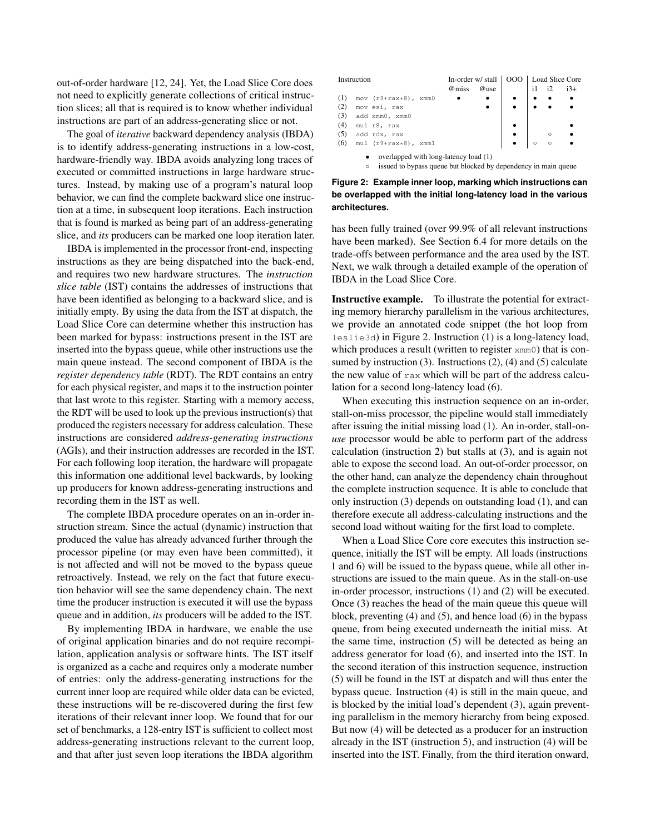out-of-order hardware [12, 24]. Yet, the Load Slice Core does not need to explicitly generate collections of critical instruction slices; all that is required is to know whether individual instructions are part of an address-generating slice or not.

The goal of *iterative* backward dependency analysis (IBDA) is to identify address-generating instructions in a low-cost, hardware-friendly way. IBDA avoids analyzing long traces of executed or committed instructions in large hardware structures. Instead, by making use of a program's natural loop behavior, we can find the complete backward slice one instruction at a time, in subsequent loop iterations. Each instruction that is found is marked as being part of an address-generating slice, and *its* producers can be marked one loop iteration later.

IBDA is implemented in the processor front-end, inspecting instructions as they are being dispatched into the back-end, and requires two new hardware structures. The *instruction slice table* (IST) contains the addresses of instructions that have been identified as belonging to a backward slice, and is initially empty. By using the data from the IST at dispatch, the Load Slice Core can determine whether this instruction has been marked for bypass: instructions present in the IST are inserted into the bypass queue, while other instructions use the main queue instead. The second component of IBDA is the *register dependency table* (RDT). The RDT contains an entry for each physical register, and maps it to the instruction pointer that last wrote to this register. Starting with a memory access, the RDT will be used to look up the previous instruction(s) that produced the registers necessary for address calculation. These instructions are considered *address-generating instructions* (AGIs), and their instruction addresses are recorded in the IST. For each following loop iteration, the hardware will propagate this information one additional level backwards, by looking up producers for known address-generating instructions and recording them in the IST as well.

The complete IBDA procedure operates on an in-order instruction stream. Since the actual (dynamic) instruction that produced the value has already advanced further through the processor pipeline (or may even have been committed), it is not affected and will not be moved to the bypass queue retroactively. Instead, we rely on the fact that future execution behavior will see the same dependency chain. The next time the producer instruction is executed it will use the bypass queue and in addition, *its* producers will be added to the IST.

By implementing IBDA in hardware, we enable the use of original application binaries and do not require recompilation, application analysis or software hints. The IST itself is organized as a cache and requires only a moderate number of entries: only the address-generating instructions for the current inner loop are required while older data can be evicted, these instructions will be re-discovered during the first few iterations of their relevant inner loop. We found that for our set of benchmarks, a 128-entry IST is sufficient to collect most address-generating instructions relevant to the current loop, and that after just seven loop iterations the IBDA algorithm

| Instruction                                                               |                         | In-order w/ stall |      |  | OOO   Load Slice Core |  |                                                                                                     |
|---------------------------------------------------------------------------|-------------------------|-------------------|------|--|-----------------------|--|-----------------------------------------------------------------------------------------------------|
|                                                                           |                         | @miss             | @use |  | i1                    |  | $i2 \t i3+$                                                                                         |
| (1)                                                                       | $mov (r9+rax*8)$ , xmm0 |                   |      |  |                       |  |                                                                                                     |
| (2)                                                                       | mov esi, rax            |                   |      |  |                       |  |                                                                                                     |
| (3)                                                                       | add xmm0, xmm0          |                   |      |  |                       |  |                                                                                                     |
| (4)                                                                       | mul r8, rax             |                   |      |  |                       |  |                                                                                                     |
| (5)                                                                       | add rdx, rax            |                   |      |  |                       |  | $\begin{array}{c ccc}\n\bullet & & \circ & & \bullet \\ \bullet & & \circ & & \bullet\n\end{array}$ |
| (6)                                                                       | $mul (r9+rax*8)$ , xmml |                   |      |  |                       |  |                                                                                                     |
| overlapped with long-latency load (1)<br>٠                                |                         |                   |      |  |                       |  |                                                                                                     |
| issued to bypass queue but blocked by dependency in main queue<br>$\circ$ |                         |                   |      |  |                       |  |                                                                                                     |

**Figure 2: Example inner loop, marking which instructions can be overlapped with the initial long-latency load in the various**

**architectures.**

has been fully trained (over 99.9% of all relevant instructions have been marked). See Section 6.4 for more details on the trade-offs between performance and the area used by the IST. Next, we walk through a detailed example of the operation of IBDA in the Load Slice Core.

Instructive example. To illustrate the potential for extracting memory hierarchy parallelism in the various architectures, we provide an annotated code snippet (the hot loop from leslie3d) in Figure 2. Instruction (1) is a long-latency load, which produces a result (written to register  $x_{mm}$ 0) that is consumed by instruction (3). Instructions (2), (4) and (5) calculate the new value of rax which will be part of the address calculation for a second long-latency load (6).

When executing this instruction sequence on an in-order, stall-on-miss processor, the pipeline would stall immediately after issuing the initial missing load (1). An in-order, stall-on*use* processor would be able to perform part of the address calculation (instruction 2) but stalls at (3), and is again not able to expose the second load. An out-of-order processor, on the other hand, can analyze the dependency chain throughout the complete instruction sequence. It is able to conclude that only instruction (3) depends on outstanding load (1), and can therefore execute all address-calculating instructions and the second load without waiting for the first load to complete.

When a Load Slice Core core executes this instruction sequence, initially the IST will be empty. All loads (instructions 1 and 6) will be issued to the bypass queue, while all other instructions are issued to the main queue. As in the stall-on-use in-order processor, instructions (1) and (2) will be executed. Once (3) reaches the head of the main queue this queue will block, preventing  $(4)$  and  $(5)$ , and hence load  $(6)$  in the bypass queue, from being executed underneath the initial miss. At the same time, instruction (5) will be detected as being an address generator for load (6), and inserted into the IST. In the second iteration of this instruction sequence, instruction (5) will be found in the IST at dispatch and will thus enter the bypass queue. Instruction (4) is still in the main queue, and is blocked by the initial load's dependent (3), again preventing parallelism in the memory hierarchy from being exposed. But now (4) will be detected as a producer for an instruction already in the IST (instruction 5), and instruction (4) will be inserted into the IST. Finally, from the third iteration onward,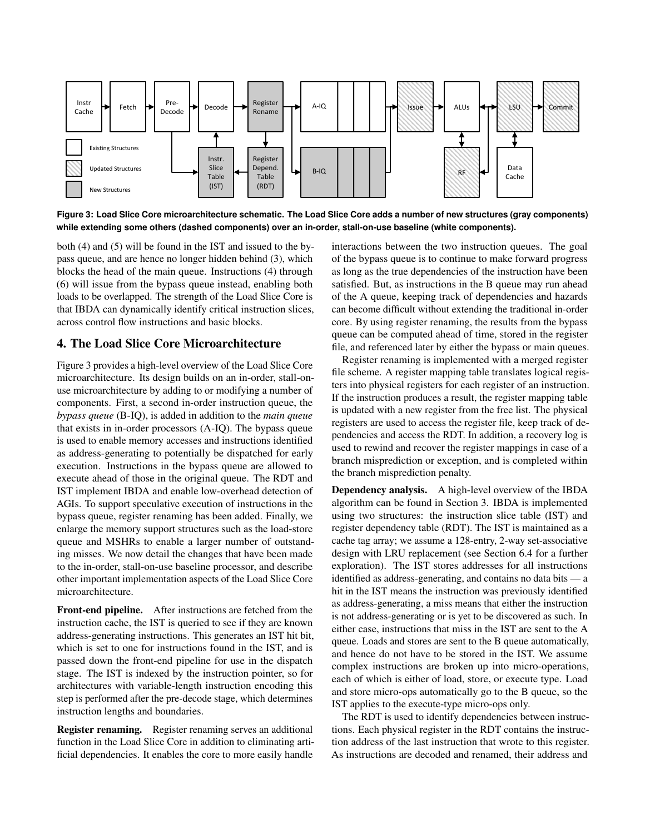

**Figure 3: Load Slice Core microarchitecture schematic. The Load Slice Core adds a number of new structures (gray components) while extending some others (dashed components) over an in-order, stall-on-use baseline (white components).**

both (4) and (5) will be found in the IST and issued to the bypass queue, and are hence no longer hidden behind (3), which blocks the head of the main queue. Instructions (4) through (6) will issue from the bypass queue instead, enabling both loads to be overlapped. The strength of the Load Slice Core is that IBDA can dynamically identify critical instruction slices, across control flow instructions and basic blocks.

### 4. The Load Slice Core Microarchitecture

Figure 3 provides a high-level overview of the Load Slice Core microarchitecture. Its design builds on an in-order, stall-onuse microarchitecture by adding to or modifying a number of components. First, a second in-order instruction queue, the *bypass queue* (B-IQ), is added in addition to the *main queue* that exists in in-order processors (A-IQ). The bypass queue is used to enable memory accesses and instructions identified as address-generating to potentially be dispatched for early execution. Instructions in the bypass queue are allowed to execute ahead of those in the original queue. The RDT and IST implement IBDA and enable low-overhead detection of AGIs. To support speculative execution of instructions in the bypass queue, register renaming has been added. Finally, we enlarge the memory support structures such as the load-store queue and MSHRs to enable a larger number of outstanding misses. We now detail the changes that have been made to the in-order, stall-on-use baseline processor, and describe other important implementation aspects of the Load Slice Core microarchitecture.

Front-end pipeline. After instructions are fetched from the instruction cache, the IST is queried to see if they are known address-generating instructions. This generates an IST hit bit, which is set to one for instructions found in the IST, and is passed down the front-end pipeline for use in the dispatch stage. The IST is indexed by the instruction pointer, so for architectures with variable-length instruction encoding this step is performed after the pre-decode stage, which determines instruction lengths and boundaries.

Register renaming. Register renaming serves an additional function in the Load Slice Core in addition to eliminating artificial dependencies. It enables the core to more easily handle interactions between the two instruction queues. The goal of the bypass queue is to continue to make forward progress as long as the true dependencies of the instruction have been satisfied. But, as instructions in the B queue may run ahead of the A queue, keeping track of dependencies and hazards can become difficult without extending the traditional in-order core. By using register renaming, the results from the bypass queue can be computed ahead of time, stored in the register file, and referenced later by either the bypass or main queues.

Register renaming is implemented with a merged register file scheme. A register mapping table translates logical registers into physical registers for each register of an instruction. If the instruction produces a result, the register mapping table is updated with a new register from the free list. The physical registers are used to access the register file, keep track of dependencies and access the RDT. In addition, a recovery log is used to rewind and recover the register mappings in case of a branch misprediction or exception, and is completed within the branch misprediction penalty.

Dependency analysis. A high-level overview of the IBDA algorithm can be found in Section 3. IBDA is implemented using two structures: the instruction slice table (IST) and register dependency table (RDT). The IST is maintained as a cache tag array; we assume a 128-entry, 2-way set-associative design with LRU replacement (see Section 6.4 for a further exploration). The IST stores addresses for all instructions identified as address-generating, and contains no data bits — a hit in the IST means the instruction was previously identified as address-generating, a miss means that either the instruction is not address-generating or is yet to be discovered as such. In either case, instructions that miss in the IST are sent to the A queue. Loads and stores are sent to the B queue automatically, and hence do not have to be stored in the IST. We assume complex instructions are broken up into micro-operations, each of which is either of load, store, or execute type. Load and store micro-ops automatically go to the B queue, so the IST applies to the execute-type micro-ops only.

The RDT is used to identify dependencies between instructions. Each physical register in the RDT contains the instruction address of the last instruction that wrote to this register. As instructions are decoded and renamed, their address and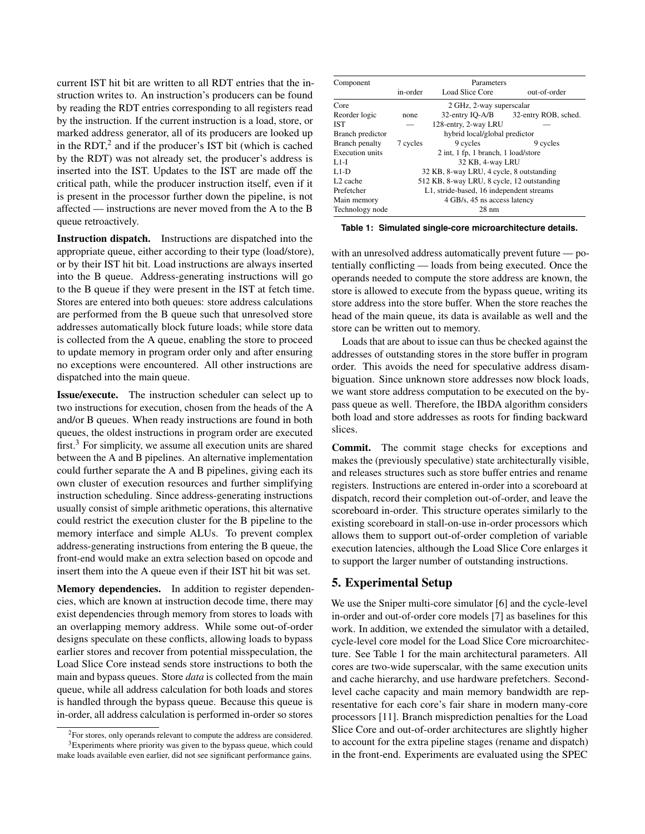current IST hit bit are written to all RDT entries that the instruction writes to. An instruction's producers can be found by reading the RDT entries corresponding to all registers read by the instruction. If the current instruction is a load, store, or marked address generator, all of its producers are looked up in the RDT, $2$  and if the producer's IST bit (which is cached by the RDT) was not already set, the producer's address is inserted into the IST. Updates to the IST are made off the critical path, while the producer instruction itself, even if it is present in the processor further down the pipeline, is not affected — instructions are never moved from the A to the B queue retroactively.

Instruction dispatch. Instructions are dispatched into the appropriate queue, either according to their type (load/store), or by their IST hit bit. Load instructions are always inserted into the B queue. Address-generating instructions will go to the B queue if they were present in the IST at fetch time. Stores are entered into both queues: store address calculations are performed from the B queue such that unresolved store addresses automatically block future loads; while store data is collected from the A queue, enabling the store to proceed to update memory in program order only and after ensuring no exceptions were encountered. All other instructions are dispatched into the main queue.

Issue/execute. The instruction scheduler can select up to two instructions for execution, chosen from the heads of the A and/or B queues. When ready instructions are found in both queues, the oldest instructions in program order are executed first.<sup>3</sup> For simplicity, we assume all execution units are shared between the A and B pipelines. An alternative implementation could further separate the A and B pipelines, giving each its own cluster of execution resources and further simplifying instruction scheduling. Since address-generating instructions usually consist of simple arithmetic operations, this alternative could restrict the execution cluster for the B pipeline to the memory interface and simple ALUs. To prevent complex address-generating instructions from entering the B queue, the front-end would make an extra selection based on opcode and insert them into the A queue even if their IST hit bit was set.

Memory dependencies. In addition to register dependencies, which are known at instruction decode time, there may exist dependencies through memory from stores to loads with an overlapping memory address. While some out-of-order designs speculate on these conflicts, allowing loads to bypass earlier stores and recover from potential misspeculation, the Load Slice Core instead sends store instructions to both the main and bypass queues. Store *data* is collected from the main queue, while all address calculation for both loads and stores is handled through the bypass queue. Because this queue is in-order, all address calculation is performed in-order so stores

| Component              | Parameters                               |                                            |                                      |  |  |  |
|------------------------|------------------------------------------|--------------------------------------------|--------------------------------------|--|--|--|
|                        | in-order                                 | Load Slice Core                            | out-of-order                         |  |  |  |
| Core                   | 2 GHz, 2-way superscalar                 |                                            |                                      |  |  |  |
| Reorder logic          | none                                     |                                            | 32-entry IO-A/B 32-entry ROB, sched. |  |  |  |
| <b>IST</b>             |                                          | 128-entry, 2-way LRU                       |                                      |  |  |  |
| Branch predictor       |                                          | hybrid local/global predictor              |                                      |  |  |  |
| <b>Branch</b> penalty  | 7 cycles                                 | 9 cycles                                   | 9 cycles                             |  |  |  |
| <b>Execution</b> units | 2 int, 1 fp, 1 branch, 1 load/store      |                                            |                                      |  |  |  |
| $L1-I$                 | 32 KB, 4-way LRU                         |                                            |                                      |  |  |  |
| $L1-D$                 | 32 KB, 8-way LRU, 4 cycle, 8 outstanding |                                            |                                      |  |  |  |
| L <sub>2</sub> cache   |                                          | 512 KB, 8-way LRU, 8 cycle, 12 outstanding |                                      |  |  |  |
| Prefetcher             |                                          | L1, stride-based, 16 independent streams   |                                      |  |  |  |
| Main memory            |                                          | 4 GB/s, 45 ns access latency               |                                      |  |  |  |
| Technology node        | $28 \text{ nm}$                          |                                            |                                      |  |  |  |

**Table 1: Simulated single-core microarchitecture details.**

with an unresolved address automatically prevent future — potentially conflicting — loads from being executed. Once the operands needed to compute the store address are known, the store is allowed to execute from the bypass queue, writing its store address into the store buffer. When the store reaches the head of the main queue, its data is available as well and the store can be written out to memory.

Loads that are about to issue can thus be checked against the addresses of outstanding stores in the store buffer in program order. This avoids the need for speculative address disambiguation. Since unknown store addresses now block loads, we want store address computation to be executed on the bypass queue as well. Therefore, the IBDA algorithm considers both load and store addresses as roots for finding backward slices.

Commit. The commit stage checks for exceptions and makes the (previously speculative) state architecturally visible, and releases structures such as store buffer entries and rename registers. Instructions are entered in-order into a scoreboard at dispatch, record their completion out-of-order, and leave the scoreboard in-order. This structure operates similarly to the existing scoreboard in stall-on-use in-order processors which allows them to support out-of-order completion of variable execution latencies, although the Load Slice Core enlarges it to support the larger number of outstanding instructions.

### 5. Experimental Setup

We use the Sniper multi-core simulator [6] and the cycle-level in-order and out-of-order core models [7] as baselines for this work. In addition, we extended the simulator with a detailed, cycle-level core model for the Load Slice Core microarchitecture. See Table 1 for the main architectural parameters. All cores are two-wide superscalar, with the same execution units and cache hierarchy, and use hardware prefetchers. Secondlevel cache capacity and main memory bandwidth are representative for each core's fair share in modern many-core processors [11]. Branch misprediction penalties for the Load Slice Core and out-of-order architectures are slightly higher to account for the extra pipeline stages (rename and dispatch) in the front-end. Experiments are evaluated using the SPEC

 ${}^{2}$ For stores, only operands relevant to compute the address are considered. <sup>3</sup>Experiments where priority was given to the bypass queue, which could make loads available even earlier, did not see significant performance gains.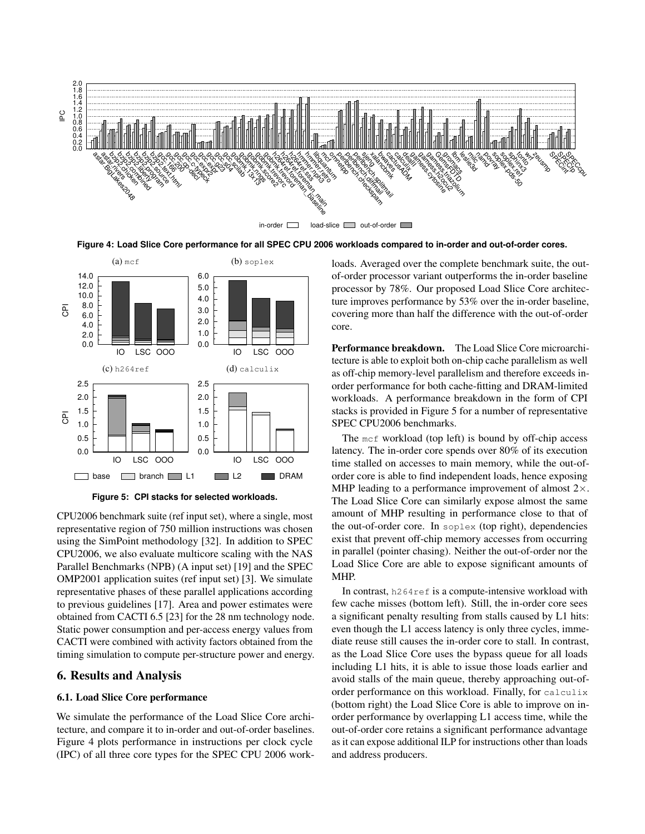

Figure 4: Load Slice Core performance for all SPEC CPU 2006 workloads compared to in-order and out-of-order cores.



**Figure 5: CPI stacks for selected workloads.**

CPU2006 benchmark suite (ref input set), where a single, most representative region of 750 million instructions was chosen using the SimPoint methodology [32]. In addition to SPEC CPU2006, we also evaluate multicore scaling with the NAS Parallel Benchmarks (NPB) (A input set) [19] and the SPEC OMP2001 application suites (ref input set) [3]. We simulate representative phases of these parallel applications according to previous guidelines [17]. Area and power estimates were obtained from CACTI 6.5 [23] for the 28 nm technology node. Static power consumption and per-access energy values from CACTI were combined with activity factors obtained from the timing simulation to compute per-structure power and energy.

### 6. Results and Analysis

#### 6.1. Load Slice Core performance

We simulate the performance of the Load Slice Core architecture, and compare it to in-order and out-of-order baselines. Figure 4 plots performance in instructions per clock cycle (IPC) of all three core types for the SPEC CPU 2006 work-

covering more than half the difference with the out-of-order ture improves performance by 53% over the in-order baseline, processor by 78%. Our proposed Load Slice Core architecof-order processor variant outperforms the in-order baseline loads. Averaged over the complete benchmark suite, the outcore.

SPEC CPU2006 benchmarks. stacks is provided in Figure 5 for a number of representative workloads. A performance breakdown in the form of CPI order performance for both cache-fitting and DRAM-limited Performance breakdown. The Load Slice Core microarchitecture is able to exploit both on-chip cache parallelism as well as off-chip memory-level parallelism and therefore exceeds in-

The mcf workload (top left) is bound by off-chip access latency. The in-order core spends over 80% of its execution time stalled on accesses to main memory, while the out-oforder core is able to find independent loads, hence exposing MHP leading to a performance improvement of almost  $2 \times$ . The Load Slice Core can similarly expose almost the same amount of MHP resulting in performance close to that of the out-of-order core. In soplex (top right), dependencies exist that prevent off-chip memory accesses from occurring in parallel (pointer chasing). Neither the out-of-order nor the Load Slice Core are able to expose significant amounts of MHP.

In contrast, h264ref is a compute-intensive workload with few cache misses (bottom left). Still, the in-order core sees a significant penalty resulting from stalls caused by L1 hits: even though the L1 access latency is only three cycles, immediate reuse still causes the in-order core to stall. In contrast, as the Load Slice Core uses the bypass queue for all loads including L1 hits, it is able to issue those loads earlier and avoid stalls of the main queue, thereby approaching out-oforder performance on this workload. Finally, for calculix (bottom right) the Load Slice Core is able to improve on inorder performance by overlapping L1 access time, while the out-of-order core retains a significant performance advantage as it can expose additional ILP for instructions other than loads and address producers.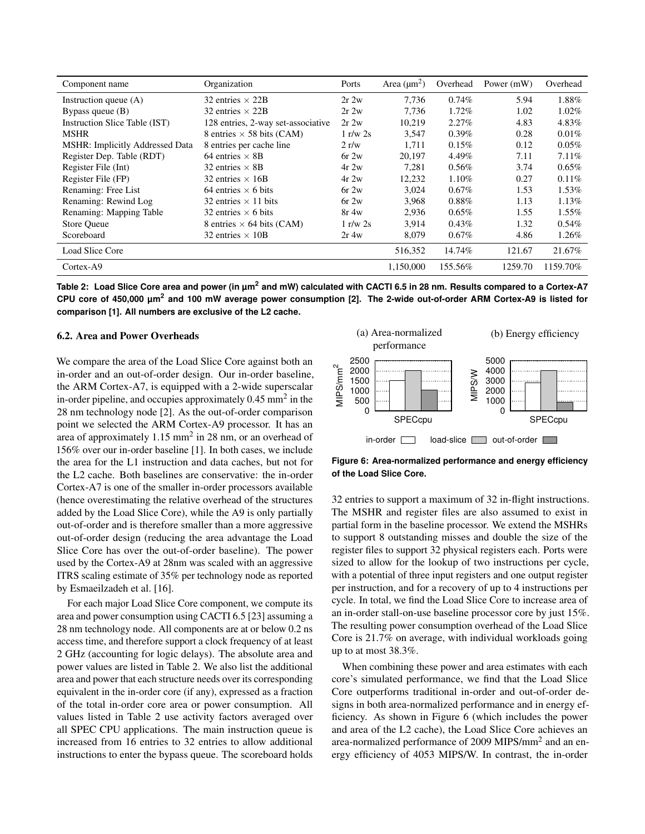| Component name                         | Organization                       | Ports    | Area $(\mu m^2)$ | Overhead | Power (mW) | Overhead |
|----------------------------------------|------------------------------------|----------|------------------|----------|------------|----------|
| Instruction queue (A)                  | 32 entries $\times$ 22B            | 2r2w     | 7.736            | 0.74%    | 5.94       | 1.88%    |
| Bypass queue $(B)$                     | 32 entries $\times$ 22B            | 2r2w     | 7.736            | 1.72%    | 1.02       | 1.02%    |
| Instruction Slice Table (IST)          | 128 entries, 2-way set-associative | 2r2w     | 10,219           | 2.27%    | 4.83       | 4.83%    |
| <b>MSHR</b>                            | 8 entries $\times$ 58 bits (CAM)   | 1 r/w 2s | 3,547            | $0.39\%$ | 0.28       | 0.01%    |
| <b>MSHR:</b> Implicitly Addressed Data | 8 entries per cache line           | 2 r/w    | 1,711            | 0.15%    | 0.12       | $0.05\%$ |
| Register Dep. Table (RDT)              | 64 entries $\times$ 8B             | 6r2w     | 20,197           | 4.49%    | 7.11       | 7.11%    |
| Register File (Int)                    | 32 entries $\times$ 8B             | 4r2w     | 7.281            | $0.56\%$ | 3.74       | $0.65\%$ |
| Register File (FP)                     | 32 entries $\times$ 16B            | 4r2w     | 12,232           | 1.10%    | 0.27       | $0.11\%$ |
| Renaming: Free List                    | 64 entries $\times$ 6 bits         | 6r2w     | 3.024            | $0.67\%$ | 1.53       | 1.53%    |
| Renaming: Rewind Log                   | 32 entries $\times$ 11 bits        | 6r2w     | 3,968            | $0.88\%$ | 1.13       | $1.13\%$ |
| Renaming: Mapping Table                | 32 entries $\times$ 6 bits         | 8r 4w    | 2,936            | $0.65\%$ | 1.55       | $1.55\%$ |
| <b>Store Oueue</b>                     | 8 entries $\times$ 64 bits (CAM)   | 1 r/w 2s | 3,914            | $0.43\%$ | 1.32       | $0.54\%$ |
| Scoreboard                             | 32 entries $\times$ 10B            | 2r 4w    | 8,079            | $0.67\%$ | 4.86       | $1.26\%$ |
| Load Slice Core                        |                                    |          | 516,352          | 14.74%   | 121.67     | 21.67%   |
| Cortex-A9                              |                                    |          | 1,150,000        | 155.56%  | 1259.70    | 1159.70% |

**Table 2: Load Slice Core area and power (in µm<sup>2</sup> and mW) calculated with CACTI 6.5 in 28 nm. Results compared to a Cortex-A7 CPU core of 450,000 µm<sup>2</sup> and 100 mW average power consumption [2]. The 2-wide out-of-order ARM Cortex-A9 is listed for comparison [1]. All numbers are exclusive of the L2 cache.**

#### 6.2. Area and Power Overheads

We compare the area of the Load Slice Core against both an in-order and an out-of-order design. Our in-order baseline, the ARM Cortex-A7, is equipped with a 2-wide superscalar in-order pipeline, and occupies approximately  $0.45$  mm<sup>2</sup> in the 28 nm technology node [2]. As the out-of-order comparison point we selected the ARM Cortex-A9 processor. It has an area of approximately  $1.15 \text{ mm}^2$  in 28 nm, or an overhead of 156% over our in-order baseline [1]. In both cases, we include the area for the L1 instruction and data caches, but not for the L2 cache. Both baselines are conservative: the in-order Cortex-A7 is one of the smaller in-order processors available (hence overestimating the relative overhead of the structures added by the Load Slice Core), while the A9 is only partially out-of-order and is therefore smaller than a more aggressive out-of-order design (reducing the area advantage the Load Slice Core has over the out-of-order baseline). The power used by the Cortex-A9 at 28nm was scaled with an aggressive ITRS scaling estimate of 35% per technology node as reported by Esmaeilzadeh et al. [16]. MIPS/W

For each major Load Slice Core component, we compute its area and power consumption using CACTI 6.5 [23] assuming a 28 nm technology node. All components are at or below 0.2 ns access time, and therefore support a clock frequency of at least 2 GHz (accounting for logic delays). The absolute area and power values are listed in Table 2. We also list the additional area and power that each structure needs over its corresponding equivalent in the in-order core (if any), expressed as a fraction of the total in-order core area or power consumption. All values listed in Table 2 use activity factors averaged over all SPEC CPU applications. The main instruction queue is increased from 16 entries to 32 entries to allow additional instructions to enter the bypass queue. The scoreboard holds



rigure of Area-Horman<br>of the Load Slice Core. **Figure 6: Area-normalized performance and energy efficiency** 

32 entries to support a maximum of 32 in-flight instructions. The MSHR and register files are also assumed to exist in partial form in the baseline processor. We extend the MSHRs to support 8 outstanding misses and double the size of the register files to support 32 physical registers each. Ports were sized to allow for the lookup of two instructions per cycle, with a potential of three input registers and one output register per instruction, and for a recovery of up to 4 instructions per cycle. In total, we find the Load Slice Core to increase area of an in-order stall-on-use baseline processor core by just 15%. The resulting power consumption overhead of the Load Slice Core is 21.7% on average, with individual workloads going up to at most 38.3%.

When combining these power and area estimates with each core's simulated performance, we find that the Load Slice Core outperforms traditional in-order and out-of-order designs in both area-normalized performance and in energy efficiency. As shown in Figure 6 (which includes the power and area of the L2 cache), the Load Slice Core achieves an area-normalized performance of 2009 MIPS/mm<sup>2</sup> and an energy efficiency of 4053 MIPS/W. In contrast, the in-order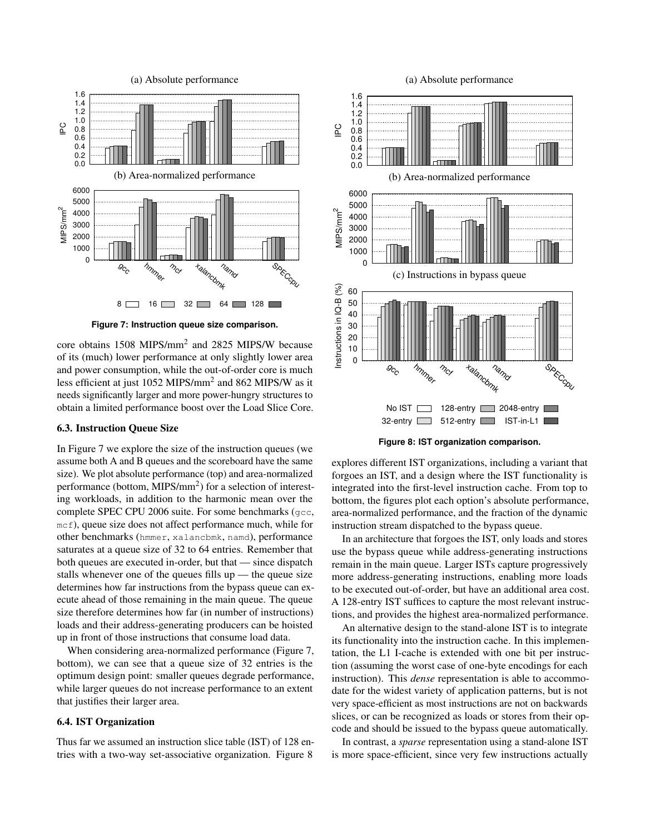

**Figure 7: Instruction queue size comparison.**

core obtains 1508 MIPS/mm<sup>2</sup> and 2825 MIPS/W because of its (much) lower performance at only slightly lower area and power consumption, while the out-of-order core is much less efficient at just 1052 MIPS/mm<sup>2</sup> and 862 MIPS/W as it needs significantly larger and more power-hungry structures to obtain a limited performance boost over the Load Slice Core.

### 6.3. Instruction Queue Size

In Figure 7 we explore the size of the instruction queues (we assume both A and B queues and the scoreboard have the same size). We plot absolute performance (top) and area-normalized performance (bottom, MIPS/mm<sup>2</sup>) for a selection of interesting workloads, in addition to the harmonic mean over the complete SPEC CPU 2006 suite. For some benchmarks (gcc, mcf), queue size does not affect performance much, while for other benchmarks (hmmer, xalancbmk, namd), performance saturates at a queue size of 32 to 64 entries. Remember that both queues are executed in-order, but that — since dispatch stalls whenever one of the queues fills up — the queue size determines how far instructions from the bypass queue can execute ahead of those remaining in the main queue. The queue size therefore determines how far (in number of instructions) loads and their address-generating producers can be hoisted up in front of those instructions that consume load data.

When considering area-normalized performance (Figure 7, bottom), we can see that a queue size of 32 entries is the optimum design point: smaller queues degrade performance, while larger queues do not increase performance to an extent that justifies their larger area.

### 6.4. IST Organization

Thus far we assumed an instruction slice table (IST) of 128 entries with a two-way set-associative organization. Figure 8



**Figure 8: IST organization comparison.**

explores different IST organizations, including a variant that forgoes an IST, and a design where the IST functionality is integrated into the first-level instruction cache. From top to bottom, the figures plot each option's absolute performance, area-normalized performance, and the fraction of the dynamic instruction stream dispatched to the bypass queue.

In an architecture that forgoes the IST, only loads and stores use the bypass queue while address-generating instructions remain in the main queue. Larger ISTs capture progressively more address-generating instructions, enabling more loads to be executed out-of-order, but have an additional area cost. A 128-entry IST suffices to capture the most relevant instructions, and provides the highest area-normalized performance.

An alternative design to the stand-alone IST is to integrate its functionality into the instruction cache. In this implementation, the L1 I-cache is extended with one bit per instruction (assuming the worst case of one-byte encodings for each instruction). This *dense* representation is able to accommodate for the widest variety of application patterns, but is not very space-efficient as most instructions are not on backwards slices, or can be recognized as loads or stores from their opcode and should be issued to the bypass queue automatically.

In contrast, a *sparse* representation using a stand-alone IST is more space-efficient, since very few instructions actually

(a) Absolute performance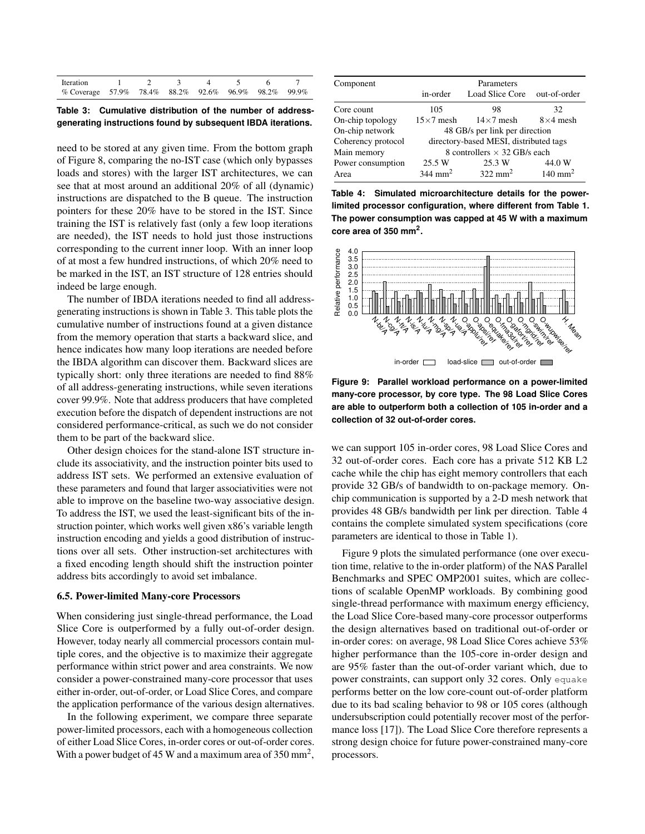| Iteration                                            |  |  |  |  |
|------------------------------------------------------|--|--|--|--|
| % Coverage 57.9% 78.4% 88.2% 92.6% 96.9% 98.2% 99.9% |  |  |  |  |

**Table 3: Cumulative distribution of the number of addressgenerating instructions found by subsequent IBDA iterations.**

need to be stored at any given time. From the bottom graph of Figure 8, comparing the no-IST case (which only bypasses loads and stores) with the larger IST architectures, we can see that at most around an additional 20% of all (dynamic) instructions are dispatched to the B queue. The instruction pointers for these 20% have to be stored in the IST. Since training the IST is relatively fast (only a few loop iterations are needed), the IST needs to hold just those instructions corresponding to the current inner loop. With an inner loop of at most a few hundred instructions, of which 20% need to be marked in the IST, an IST structure of 128 entries should indeed be large enough.

The number of IBDA iterations needed to find all addressgenerating instructions is shown in Table 3. This table plots the cumulative number of instructions found at a given distance from the memory operation that starts a backward slice, and hence indicates how many loop iterations are needed before the IBDA algorithm can discover them. Backward slices are typically short: only three iterations are needed to find 88% of all address-generating instructions, while seven iterations cover 99.9%. Note that address producers that have completed execution before the dispatch of dependent instructions are not considered performance-critical, as such we do not consider them to be part of the backward slice.

Other design choices for the stand-alone IST structure include its associativity, and the instruction pointer bits used to address IST sets. We performed an extensive evaluation of these parameters and found that larger associativities were not able to improve on the baseline two-way associative design. To address the IST, we used the least-significant bits of the instruction pointer, which works well given x86's variable length instruction encoding and yields a good distribution of instructions over all sets. Other instruction-set architectures with a fixed encoding length should shift the instruction pointer address bits accordingly to avoid set imbalance.

#### 6.5. Power-limited Many-core Processors

When considering just single-thread performance, the Load Slice Core is outperformed by a fully out-of-order design. However, today nearly all commercial processors contain multiple cores, and the objective is to maximize their aggregate performance within strict power and area constraints. We now consider a power-constrained many-core processor that uses either in-order, out-of-order, or Load Slice Cores, and compare the application performance of the various design alternatives.

In the following experiment, we compare three separate power-limited processors, each with a homogeneous collection of either Load Slice Cores, in-order cores or out-of-order cores. With a power budget of 45 W and a maximum area of 350 mm<sup>2</sup>,

| Component          | Parameters                             |                              |                    |  |  |  |
|--------------------|----------------------------------------|------------------------------|--------------------|--|--|--|
|                    | in-order                               | Load Slice Core out-of-order |                    |  |  |  |
| Core count         | 105                                    | 98                           | 32.                |  |  |  |
| On-chip topology   | $15\times7$ mesh                       | $14\times7$ mesh             | $8\times4$ mesh    |  |  |  |
| On-chip network    | 48 GB/s per link per direction         |                              |                    |  |  |  |
| Coherency protocol | directory-based MESI, distributed tags |                              |                    |  |  |  |
| Main memory        | 8 controllers $\times$ 32 GB/s each    |                              |                    |  |  |  |
| Power consumption  | 25.5 W                                 | 25.3 W                       | 44.0 W             |  |  |  |
| Area               | $344 \text{ mm}^2$                     | $322 \text{ mm}^2$           | $140 \text{ mm}^2$ |  |  |  |

**Table 4: Simulated microarchitecture details for the powerlimited processor configuration, where different from Table 1. The power consumption was capped at 45 W with a maximum core area of 350 mm<sup>2</sup> .**



**Figure 9: Parallel workload performance on a power-limited many-core processor, by core type. The 98 Load Slice Cores are able to outperform both a collection of 105 in-order and a collection of 32 out-of-order cores.**

we can support 105 in-order cores, 98 Load Slice Cores and 32 out-of-order cores. Each core has a private 512 KB L2 cache while the chip has eight memory controllers that each provide 32 GB/s of bandwidth to on-package memory. Onchip communication is supported by a 2-D mesh network that provides 48 GB/s bandwidth per link per direction. Table 4 contains the complete simulated system specifications (core parameters are identical to those in Table 1).

Figure 9 plots the simulated performance (one over execution time, relative to the in-order platform) of the NAS Parallel Benchmarks and SPEC OMP2001 suites, which are collections of scalable OpenMP workloads. By combining good single-thread performance with maximum energy efficiency, the Load Slice Core-based many-core processor outperforms the design alternatives based on traditional out-of-order or in-order cores: on average, 98 Load Slice Cores achieve 53% higher performance than the 105-core in-order design and are 95% faster than the out-of-order variant which, due to power constraints, can support only 32 cores. Only equake performs better on the low core-count out-of-order platform due to its bad scaling behavior to 98 or 105 cores (although undersubscription could potentially recover most of the performance loss [17]). The Load Slice Core therefore represents a strong design choice for future power-constrained many-core processors.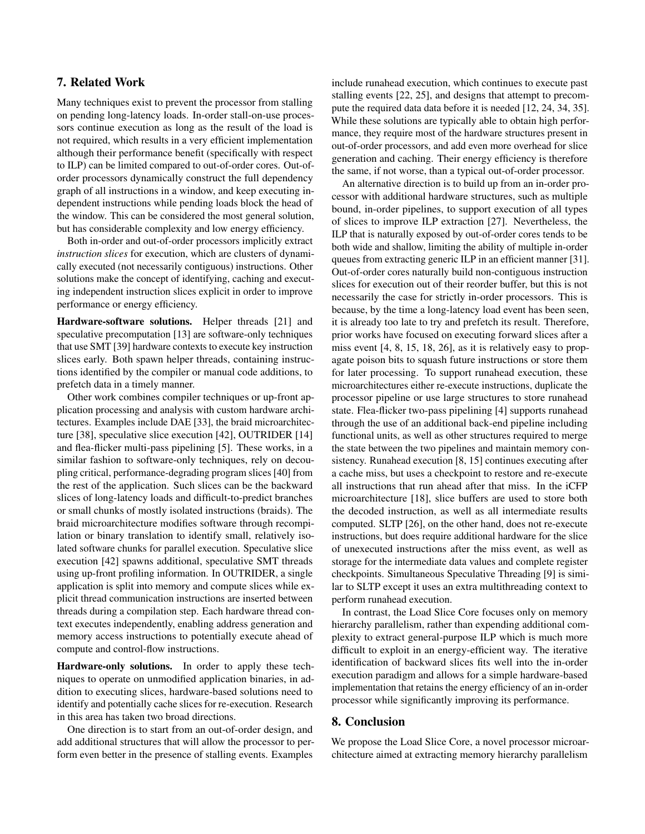## 7. Related Work

Many techniques exist to prevent the processor from stalling on pending long-latency loads. In-order stall-on-use processors continue execution as long as the result of the load is not required, which results in a very efficient implementation although their performance benefit (specifically with respect to ILP) can be limited compared to out-of-order cores. Out-oforder processors dynamically construct the full dependency graph of all instructions in a window, and keep executing independent instructions while pending loads block the head of the window. This can be considered the most general solution, but has considerable complexity and low energy efficiency.

Both in-order and out-of-order processors implicitly extract *instruction slices* for execution, which are clusters of dynamically executed (not necessarily contiguous) instructions. Other solutions make the concept of identifying, caching and executing independent instruction slices explicit in order to improve performance or energy efficiency.

Hardware-software solutions. Helper threads [21] and speculative precomputation [13] are software-only techniques that use SMT [39] hardware contexts to execute key instruction slices early. Both spawn helper threads, containing instructions identified by the compiler or manual code additions, to prefetch data in a timely manner.

Other work combines compiler techniques or up-front application processing and analysis with custom hardware architectures. Examples include DAE [33], the braid microarchitecture [38], speculative slice execution [42], OUTRIDER [14] and flea-flicker multi-pass pipelining [5]. These works, in a similar fashion to software-only techniques, rely on decoupling critical, performance-degrading program slices [40] from the rest of the application. Such slices can be the backward slices of long-latency loads and difficult-to-predict branches or small chunks of mostly isolated instructions (braids). The braid microarchitecture modifies software through recompilation or binary translation to identify small, relatively isolated software chunks for parallel execution. Speculative slice execution [42] spawns additional, speculative SMT threads using up-front profiling information. In OUTRIDER, a single application is split into memory and compute slices while explicit thread communication instructions are inserted between threads during a compilation step. Each hardware thread context executes independently, enabling address generation and memory access instructions to potentially execute ahead of compute and control-flow instructions.

Hardware-only solutions. In order to apply these techniques to operate on unmodified application binaries, in addition to executing slices, hardware-based solutions need to identify and potentially cache slices for re-execution. Research in this area has taken two broad directions.

One direction is to start from an out-of-order design, and add additional structures that will allow the processor to perform even better in the presence of stalling events. Examples include runahead execution, which continues to execute past stalling events [22, 25], and designs that attempt to precompute the required data data before it is needed [12, 24, 34, 35]. While these solutions are typically able to obtain high performance, they require most of the hardware structures present in out-of-order processors, and add even more overhead for slice generation and caching. Their energy efficiency is therefore the same, if not worse, than a typical out-of-order processor.

An alternative direction is to build up from an in-order processor with additional hardware structures, such as multiple bound, in-order pipelines, to support execution of all types of slices to improve ILP extraction [27]. Nevertheless, the ILP that is naturally exposed by out-of-order cores tends to be both wide and shallow, limiting the ability of multiple in-order queues from extracting generic ILP in an efficient manner [31]. Out-of-order cores naturally build non-contiguous instruction slices for execution out of their reorder buffer, but this is not necessarily the case for strictly in-order processors. This is because, by the time a long-latency load event has been seen, it is already too late to try and prefetch its result. Therefore, prior works have focused on executing forward slices after a miss event [4, 8, 15, 18, 26], as it is relatively easy to propagate poison bits to squash future instructions or store them for later processing. To support runahead execution, these microarchitectures either re-execute instructions, duplicate the processor pipeline or use large structures to store runahead state. Flea-flicker two-pass pipelining [4] supports runahead through the use of an additional back-end pipeline including functional units, as well as other structures required to merge the state between the two pipelines and maintain memory consistency. Runahead execution [8, 15] continues executing after a cache miss, but uses a checkpoint to restore and re-execute all instructions that run ahead after that miss. In the iCFP microarchitecture [18], slice buffers are used to store both the decoded instruction, as well as all intermediate results computed. SLTP [26], on the other hand, does not re-execute instructions, but does require additional hardware for the slice of unexecuted instructions after the miss event, as well as storage for the intermediate data values and complete register checkpoints. Simultaneous Speculative Threading [9] is similar to SLTP except it uses an extra multithreading context to perform runahead execution.

In contrast, the Load Slice Core focuses only on memory hierarchy parallelism, rather than expending additional complexity to extract general-purpose ILP which is much more difficult to exploit in an energy-efficient way. The iterative identification of backward slices fits well into the in-order execution paradigm and allows for a simple hardware-based implementation that retains the energy efficiency of an in-order processor while significantly improving its performance.

#### 8. Conclusion

We propose the Load Slice Core, a novel processor microarchitecture aimed at extracting memory hierarchy parallelism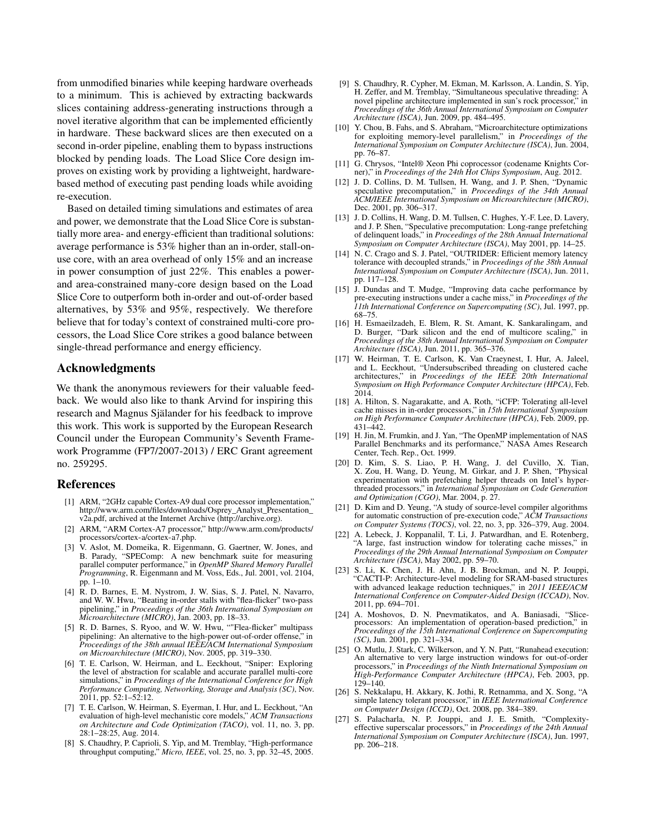from unmodified binaries while keeping hardware overheads to a minimum. This is achieved by extracting backwards slices containing address-generating instructions through a novel iterative algorithm that can be implemented efficiently in hardware. These backward slices are then executed on a second in-order pipeline, enabling them to bypass instructions blocked by pending loads. The Load Slice Core design improves on existing work by providing a lightweight, hardwarebased method of executing past pending loads while avoiding re-execution.

Based on detailed timing simulations and estimates of area and power, we demonstrate that the Load Slice Core is substantially more area- and energy-efficient than traditional solutions: average performance is 53% higher than an in-order, stall-onuse core, with an area overhead of only 15% and an increase in power consumption of just 22%. This enables a powerand area-constrained many-core design based on the Load Slice Core to outperform both in-order and out-of-order based alternatives, by 53% and 95%, respectively. We therefore believe that for today's context of constrained multi-core processors, the Load Slice Core strikes a good balance between single-thread performance and energy efficiency.

### Acknowledgments

We thank the anonymous reviewers for their valuable feedback. We would also like to thank Arvind for inspiring this research and Magnus Själander for his feedback to improve this work. This work is supported by the European Research Council under the European Community's Seventh Framework Programme (FP7/2007-2013) / ERC Grant agreement no. 259295.

### References

- [1] ARM, "2GHz capable Cortex-A9 dual core processor implementation," http://www.arm.com/files/downloads/Osprey\_Analyst\_Presentation\_ v2a.pdf, archived at the Internet Archive (http://archive.org).
- [2] ARM, "ARM Cortex-A7 processor," http://www.arm.com/products/ processors/cortex-a/cortex-a7.php.
- [3] V. Aslot, M. Domeika, R. Eigenmann, G. Gaertner, W. Jones, and B. Parady, "SPEComp: A new benchmark suite for measuring parallel computer performance," in *OpenMP Shared Memory Parallel Programming*, R. Eigenmann and M. Voss, Eds., Jul. 2001, vol. 2104, pp. 1–10.
- [4] R. D. Barnes, E. M. Nystrom, J. W. Sias, S. J. Patel, N. Navarro, and W. W. Hwu, "Beating in-order stalls with "flea-flicker" two-pass pipelining," in *Proceedings of the 36th International Symposium on Microarchitecture (MICRO)*, Jan. 2003, pp. 18–33.
- [5] R. D. Barnes, S. Ryoo, and W. W. Hwu, ""Flea-flicker" multipass pipelining: An alternative to the high-power out-of-order offense," in *Proceedings of the 38th annual IEEE/ACM International Symposium on Microarchitecture (MICRO)*, Nov. 2005, pp. 319–330.
- [6] T. E. Carlson, W. Heirman, and L. Eeckhout, "Sniper: Exploring the level of abstraction for scalable and accurate parallel multi-core simulations," in *Proceedings of the International Conference for High Performance Computing, Networking, Storage and Analysis (SC)*, Nov. 2011, pp. 52:1–52:12.
- [7] T. E. Carlson, W. Heirman, S. Eyerman, I. Hur, and L. Eeckhout, "An evaluation of high-level mechanistic core models," *ACM Transactions on Architecture and Code Optimization (TACO)*, vol. 11, no. 3, pp. 28:1–28:25, Aug. 2014.
- [8] S. Chaudhry, P. Caprioli, S. Yip, and M. Tremblay, "High-performance throughput computing," *Micro, IEEE*, vol. 25, no. 3, pp. 32–45, 2005.
- [9] S. Chaudhry, R. Cypher, M. Ekman, M. Karlsson, A. Landin, S. Yip, H. Zeffer, and M. Tremblay, "Simultaneous speculative threading: A novel pipeline architecture implemented in sun's rock processor," in *Proceedings of the 36th Annual International Symposium on Computer Architecture (ISCA)*, Jun. 2009, pp. 484–495.
- [10] Y. Chou, B. Fahs, and S. Abraham, "Microarchitecture optimizations for exploiting memory-level parallelism," in *Proceedings of the International Symposium on Computer Architecture (ISCA)*, Jun. 2004, pp. 76–87.
- [11] G. Chrysos, "Intel® Xeon Phi coprocessor (codename Knights Corner)," in *Proceedings of the 24th Hot Chips Symposium*, Aug. 2012.
- [12] J. D. Collins, D. M. Tullsen, H. Wang, and J. P. Shen, "Dynamic speculative precomputation," in *Proceedings of the 34th Annual ACM/IEEE International Symposium on Microarchitecture (MICRO)*, Dec. 2001, pp. 306–317.
- [13] J. D. Collins, H. Wang, D. M. Tullsen, C. Hughes, Y.-F. Lee, D. Lavery, and J. P. Shen, "Speculative precomputation: Long-range prefetching of delinquent loads," in *Proceedings of the 28th Annual International Symposium on Computer Architecture (ISCA)*, May 2001, pp. 14–25.
- [14] N. C. Crago and S. J. Patel, "OUTRIDER: Efficient memory latency tolerance with decoupled strands," in *Proceedings of the 38th Annual International Symposium on Computer Architecture (ISCA)*, Jun. 2011, pp. 117–128.
- [15] J. Dundas and T. Mudge, "Improving data cache performance by pre-executing instructions under a cache miss," in *Proceedings of the 11th International Conference on Supercomputing (SC)*, Jul. 1997, pp. 68–75.
- [16] H. Esmaeilzadeh, E. Blem, R. St. Amant, K. Sankaralingam, and D. Burger, "Dark silicon and the end of multicore scaling," in *Proceedings of the 38th Annual International Symposium on Computer Architecture (ISCA)*, Jun. 2011, pp. 365–376.
- [17] W. Heirman, T. E. Carlson, K. Van Craeynest, I. Hur, A. Jaleel, and L. Eeckhout, "Undersubscribed threading on clustered cache architectures," in *Proceedings of the IEEE 20th International Symposium on High Performance Computer Architecture (HPCA)*, Feb. 2014.
- [18] A. Hilton, S. Nagarakatte, and A. Roth, "iCFP: Tolerating all-level cache misses in in-order processors," in *15th International Symposium on High Performance Computer Architecture (HPCA)*, Feb. 2009, pp. 431–442.
- [19] H. Jin, M. Frumkin, and J. Yan, "The OpenMP implementation of NAS Parallel Benchmarks and its performance," NASA Ames Research Center, Tech. Rep., Oct. 1999.
- [20] D. Kim, S. S. Liao, P. H. Wang, J. del Cuvillo, X. Tian, X. Zou, H. Wang, D. Yeung, M. Girkar, and J. P. Shen, "Physical experimentation with prefetching helper threads on Intel's hyperthreaded processors," in *International Symposium on Code Generation and Optimization (CGO)*, Mar. 2004, p. 27.
- [21] D. Kim and D. Yeung, "A study of source-level compiler algorithms for automatic construction of pre-execution code," *ACM Transactions on Computer Systems (TOCS)*, vol. 22, no. 3, pp. 326–379, Aug. 2004.
- [22] A. Lebeck, J. Koppanalil, T. Li, J. Patwardhan, and E. Rotenberg, 'A large, fast instruction window for tolerating cache misses," in *Proceedings of the 29th Annual International Symposium on Computer Architecture (ISCA)*, May 2002, pp. 59–70.
- [23] S. Li, K. Chen, J. H. Ahn, J. B. Brockman, and N. P. Jouppi, "CACTI-P: Architecture-level modeling for SRAM-based structures with advanced leakage reduction techniques," in *2011 IEEE/ACM International Conference on Computer-Aided Design (ICCAD)*, Nov. 2011, pp. 694–701.
- [24] A. Moshovos, D. N. Pnevmatikatos, and A. Baniasadi, "Sliceprocessors: An implementation of operation-based prediction," in *Proceedings of the 15th International Conference on Supercomputing (SC)*, Jun. 2001, pp. 321–334.
- [25] O. Mutlu, J. Stark, C. Wilkerson, and Y. N. Patt, "Runahead execution: An alternative to very large instruction windows for out-of-order processors," in *Proceedings of the Ninth International Symposium on High-Performance Computer Architecture (HPCA)*, Feb. 2003, pp. 129–140.
- [26] S. Nekkalapu, H. Akkary, K. Jothi, R. Retnamma, and X. Song, "A simple latency tolerant processor," in *IEEE International Conference on Computer Design (ICCD)*, Oct. 2008, pp. 384–389.
- [27] S. Palacharla, N. P. Jouppi, and J. E. Smith, "Complexity-effective superscalar processors," in *Proceedings of the 24th Annual International Symposium on Computer Architecture (ISCA)*, Jun. 1997, pp. 206–218.